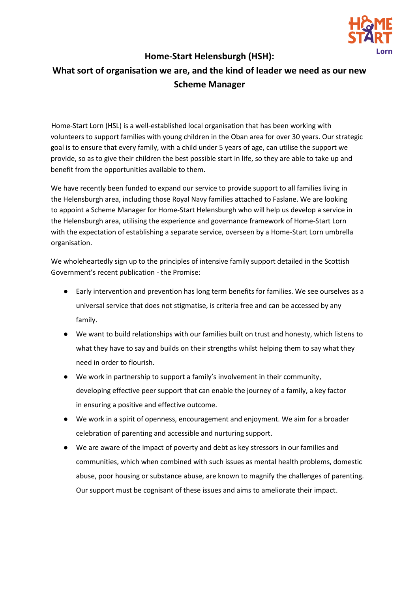

## **Home-Start Helensburgh (HSH):**

## **What sort of organisation we are, and the kind of leader we need as our new Scheme Manager**

Home-Start Lorn (HSL) is a well-established local organisation that has been working with volunteers to support families with young children in the Oban area for over 30 years. Our strategic goal is to ensure that every family, with a child under 5 years of age, can utilise the support we provide, so as to give their children the best possible start in life, so they are able to take up and benefit from the opportunities available to them.

We have recently been funded to expand our service to provide support to all families living in the Helensburgh area, including those Royal Navy families attached to Faslane. We are looking to appoint a Scheme Manager for Home-Start Helensburgh who will help us develop a service in the Helensburgh area, utilising the experience and governance framework of Home-Start Lorn with the expectation of establishing a separate service, overseen by a Home-Start Lorn umbrella organisation.

We wholeheartedly sign up to the principles of intensive family support detailed in the Scottish Government's recent publication - the Promise:

- Early intervention and prevention has long term benefits for families. We see ourselves as a universal service that does not stigmatise, is criteria free and can be accessed by any family.
- We want to build relationships with our families built on trust and honesty, which listens to what they have to say and builds on their strengths whilst helping them to say what they need in order to flourish.
- We work in partnership to support a family's involvement in their community, developing effective peer support that can enable the journey of a family, a key factor in ensuring a positive and effective outcome.
- We work in a spirit of openness, encouragement and enjoyment. We aim for a broader celebration of parenting and accessible and nurturing support.
- We are aware of the impact of poverty and debt as key stressors in our families and communities, which when combined with such issues as mental health problems, domestic abuse, poor housing or substance abuse, are known to magnify the challenges of parenting. Our support must be cognisant of these issues and aims to ameliorate their impact.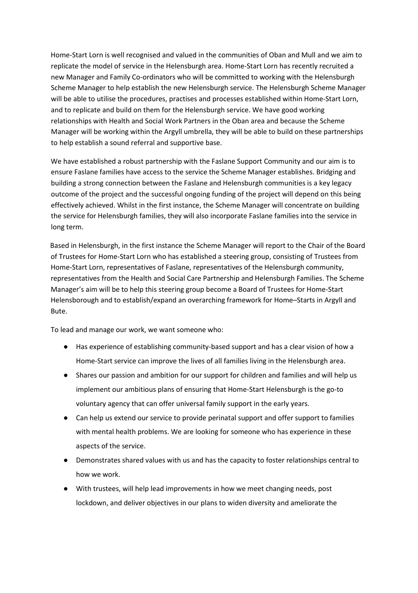Home-Start Lorn is well recognised and valued in the communities of Oban and Mull and we aim to replicate the model of service in the Helensburgh area. Home-Start Lorn has recently recruited a new Manager and Family Co-ordinators who will be committed to working with the Helensburgh Scheme Manager to help establish the new Helensburgh service. The Helensburgh Scheme Manager will be able to utilise the procedures, practises and processes established within Home-Start Lorn, and to replicate and build on them for the Helensburgh service. We have good working relationships with Health and Social Work Partners in the Oban area and because the Scheme Manager will be working within the Argyll umbrella, they will be able to build on these partnerships to help establish a sound referral and supportive base.

We have established a robust partnership with the Faslane Support Community and our aim is to ensure Faslane families have access to the service the Scheme Manager establishes. Bridging and building a strong connection between the Faslane and Helensburgh communities is a key legacy outcome of the project and the successful ongoing funding of the project will depend on this being effectively achieved. Whilst in the first instance, the Scheme Manager will concentrate on building the service for Helensburgh families, they will also incorporate Faslane families into the service in long term.

Based in Helensburgh, in the first instance the Scheme Manager will report to the Chair of the Board of Trustees for Home-Start Lorn who has established a steering group, consisting of Trustees from Home-Start Lorn, representatives of Faslane, representatives of the Helensburgh community, representatives from the Health and Social Care Partnership and Helensburgh Families. The Scheme Manager's aim will be to help this steering group become a Board of Trustees for Home-Start Helensborough and to establish/expand an overarching framework for Home–Starts in Argyll and Bute.

To lead and manage our work, we want someone who:

- Has experience of establishing community-based support and has a clear vision of how a Home-Start service can improve the lives of all families living in the Helensburgh area.
- Shares our passion and ambition for our support for children and families and will help us implement our ambitious plans of ensuring that Home-Start Helensburgh is the go-to voluntary agency that can offer universal family support in the early years.
- Can help us extend our service to provide perinatal support and offer support to families with mental health problems. We are looking for someone who has experience in these aspects of the service.
- Demonstrates shared values with us and has the capacity to foster relationships central to how we work.
- With trustees, will help lead improvements in how we meet changing needs, post lockdown, and deliver objectives in our plans to widen diversity and ameliorate the